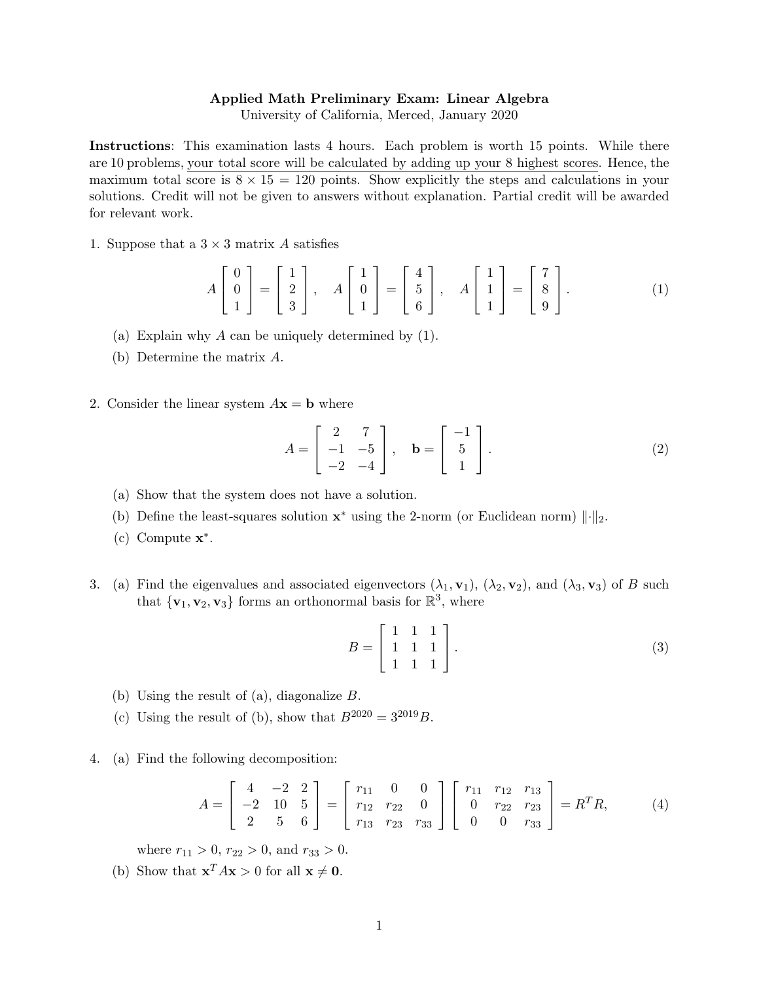## Applied Math Preliminary Exam: Linear Algebra

University of California, Merced, January 2020

Instructions: This examination lasts 4 hours. Each problem is worth 15 points. While there are 10 problems, your total score will be calculated by adding up your 8 highest scores. Hence, the maximum total score is  $8 \times 15 = 120$  points. Show explicitly the steps and calculations in your solutions. Credit will not be given to answers without explanation. Partial credit will be awarded for relevant work.

1. Suppose that a  $3 \times 3$  matrix A satisfies

$$
A\begin{bmatrix} 0\\0\\1 \end{bmatrix} = \begin{bmatrix} 1\\2\\3 \end{bmatrix}, A\begin{bmatrix} 1\\0\\1 \end{bmatrix} = \begin{bmatrix} 4\\5\\6 \end{bmatrix}, A\begin{bmatrix} 1\\1\\1 \end{bmatrix} = \begin{bmatrix} 7\\8\\9 \end{bmatrix}.
$$
 (1)

- (a) Explain why A can be uniquely determined by (1).
- (b) Determine the matrix A.
- 2. Consider the linear system  $A\mathbf{x} = \mathbf{b}$  where

$$
A = \begin{bmatrix} 2 & 7 \\ -1 & -5 \\ -2 & -4 \end{bmatrix}, \quad \mathbf{b} = \begin{bmatrix} -1 \\ 5 \\ 1 \end{bmatrix}.
$$
 (2)

- (a) Show that the system does not have a solution.
- (b) Define the least-squares solution  $x^*$  using the 2-norm (or Euclidean norm)  $\|\cdot\|_2$ .
- (c) Compute  $\mathbf{x}^*$ .
- 3. (a) Find the eigenvalues and associated eigenvectors  $(\lambda_1, \mathbf{v}_1)$ ,  $(\lambda_2, \mathbf{v}_2)$ , and  $(\lambda_3, \mathbf{v}_3)$  of B such that  ${\mathbf \{v_1, v_2, v_3\}}$  forms an orthonormal basis for  $\mathbb{R}^3$ , where

$$
B = \begin{bmatrix} 1 & 1 & 1 \\ 1 & 1 & 1 \\ 1 & 1 & 1 \end{bmatrix} . \tag{3}
$$

- (b) Using the result of (a), diagonalize B.
- (c) Using the result of (b), show that  $B^{2020} = 3^{2019}B$ .
- 4. (a) Find the following decomposition:

$$
A = \begin{bmatrix} 4 & -2 & 2 \\ -2 & 10 & 5 \\ 2 & 5 & 6 \end{bmatrix} = \begin{bmatrix} r_{11} & 0 & 0 \\ r_{12} & r_{22} & 0 \\ r_{13} & r_{23} & r_{33} \end{bmatrix} \begin{bmatrix} r_{11} & r_{12} & r_{13} \\ 0 & r_{22} & r_{23} \\ 0 & 0 & r_{33} \end{bmatrix} = R^T R,
$$
 (4)

where  $r_{11} > 0$ ,  $r_{22} > 0$ , and  $r_{33} > 0$ .

(b) Show that  $\mathbf{x}^T A \mathbf{x} > 0$  for all  $\mathbf{x} \neq \mathbf{0}$ .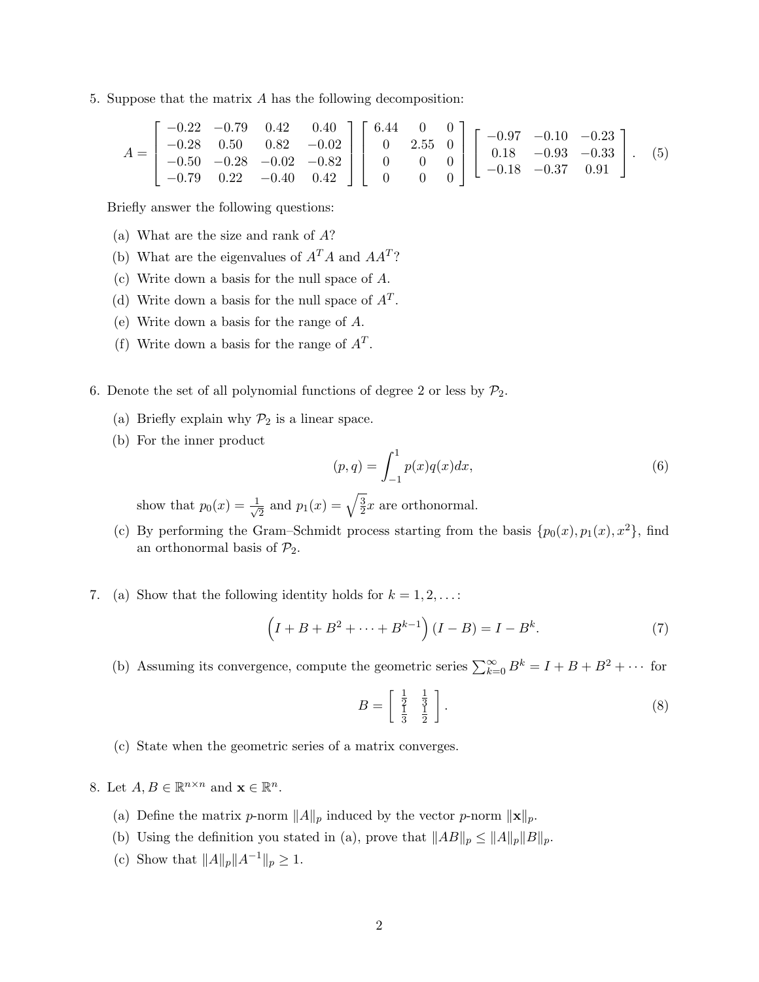5. Suppose that the matrix A has the following decomposition:

$$
A = \begin{bmatrix} -0.22 & -0.79 & 0.42 & 0.40 \\ -0.28 & 0.50 & 0.82 & -0.02 \\ -0.50 & -0.28 & -0.02 & -0.82 \\ -0.79 & 0.22 & -0.40 & 0.42 \end{bmatrix} \begin{bmatrix} 6.44 & 0 & 0 \\ 0 & 2.55 & 0 \\ 0 & 0 & 0 \\ 0 & 0 & 0 \end{bmatrix} \begin{bmatrix} -0.97 & -0.10 & -0.23 \\ 0.18 & -0.93 & -0.33 \\ -0.18 & -0.37 & 0.91 \end{bmatrix}.
$$
 (5)

Briefly answer the following questions:

- (a) What are the size and rank of A?
- (b) What are the eigenvalues of  $A^T A$  and  $A A^T$ ?
- (c) Write down a basis for the null space of A.
- (d) Write down a basis for the null space of  $A<sup>T</sup>$ .
- (e) Write down a basis for the range of A.
- (f) Write down a basis for the range of  $A<sup>T</sup>$ .
- 6. Denote the set of all polynomial functions of degree 2 or less by  $P_2$ .
	- (a) Briefly explain why  $\mathcal{P}_2$  is a linear space.
	- (b) For the inner product

$$
(p,q) = \int_{-1}^{1} p(x)q(x)dx,
$$
\n(6)

show that  $p_0(x) = \frac{1}{\sqrt{2}}$  $\frac{1}{2}$  and  $p_1(x) = \sqrt{\frac{3}{2}}$  $\frac{3}{2}x$  are orthonormal.

- (c) By performing the Gram–Schmidt process starting from the basis  $\{p_0(x), p_1(x), x^2\}$ , find an orthonormal basis of  $\mathcal{P}_2$ .
- 7. (a) Show that the following identity holds for  $k = 1, 2, \ldots$ :

$$
(I + B + B2 + \dots + Bk-1)(I - B) = I - Bk.
$$
 (7)

(b) Assuming its convergence, compute the geometric series  $\sum_{k=0}^{\infty} B^k = I + B + B^2 + \cdots$  for

$$
B = \left[\begin{array}{cc} \frac{1}{2} & \frac{1}{3} \\ \frac{1}{3} & \frac{1}{2} \end{array}\right].\tag{8}
$$

(c) State when the geometric series of a matrix converges.

8. Let  $A, B \in \mathbb{R}^{n \times n}$  and  $\mathbf{x} \in \mathbb{R}^n$ .

- (a) Define the matrix p-norm  $||A||_p$  induced by the vector p-norm  $||\mathbf{x}||_p$ .
- (b) Using the definition you stated in (a), prove that  $||AB||_p \leq ||A||_p||B||_p$ .
- (c) Show that  $||A||_p||A^{-1}||_p \geq 1$ .